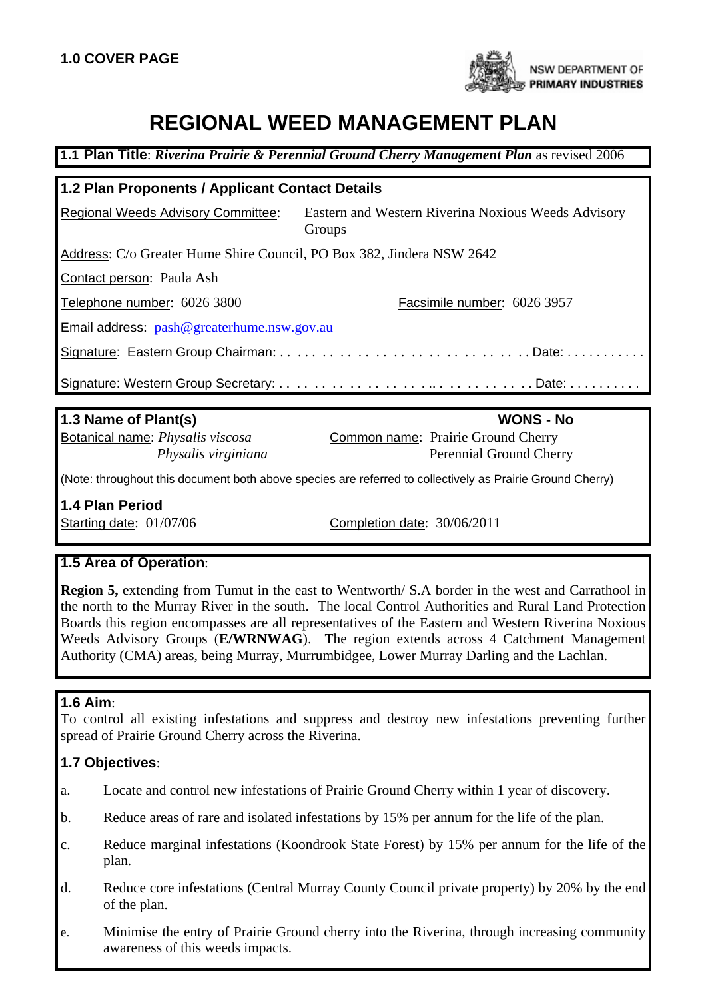

# **REGIONAL WEED MANAGEMENT PLAN**

#### **1.1 Plan Title**: *Riverina Prairie & Perennial Ground Cherry Management Plan* as revised 2006

| 1.2 Plan Proponents / Applicant Contact Details                                                           |                                                               |  |  |  |  |
|-----------------------------------------------------------------------------------------------------------|---------------------------------------------------------------|--|--|--|--|
| <b>Regional Weeds Advisory Committee:</b>                                                                 | Eastern and Western Riverina Noxious Weeds Advisory<br>Groups |  |  |  |  |
| Address: C/o Greater Hume Shire Council, PO Box 382, Jindera NSW 2642                                     |                                                               |  |  |  |  |
| Contact person: Paula Ash                                                                                 |                                                               |  |  |  |  |
| Telephone number: 6026 3800                                                                               | Facsimile number: 6026 3957                                   |  |  |  |  |
| Email address: pash@greaterhume.nsw.gov.au                                                                |                                                               |  |  |  |  |
|                                                                                                           |                                                               |  |  |  |  |
|                                                                                                           |                                                               |  |  |  |  |
| <b>WONS - No</b><br>1.3 Name of Plant(s)                                                                  |                                                               |  |  |  |  |
| Botanical name: Physalis viscosa<br>Physalis virginiana                                                   | Common name: Prairie Ground Cherry<br>Perennial Ground Cherry |  |  |  |  |
| (Note: throughout this document both above species are referred to collectively as Prairie Ground Cherry) |                                                               |  |  |  |  |

**1.4 Plan Period**

Starting date: 01/07/06 Completion date: 30/06/2011

# **1.5 Area of Operation**:

**Region 5,** extending from Tumut in the east to Wentworth/ S.A border in the west and Carrathool in the north to the Murray River in the south. The local Control Authorities and Rural Land Protection Boards this region encompasses are all representatives of the Eastern and Western Riverina Noxious Weeds Advisory Groups (**E/WRNWAG**). The region extends across 4 Catchment Management Authority (CMA) areas, being Murray, Murrumbidgee, Lower Murray Darling and the Lachlan.

# **1.6 Aim**:

To control all existing infestations and suppress and destroy new infestations preventing further spread of Prairie Ground Cherry across the Riverina.

# **1.7 Objectives**:

- a. Locate and control new infestations of Prairie Ground Cherry within 1 year of discovery.
- b. Reduce areas of rare and isolated infestations by 15% per annum for the life of the plan.
- c. Reduce marginal infestations (Koondrook State Forest) by 15% per annum for the life of the plan.
- d. Reduce core infestations (Central Murray County Council private property) by 20% by the end of the plan.
- e. Minimise the entry of Prairie Ground cherry into the Riverina, through increasing community awareness of this weeds impacts.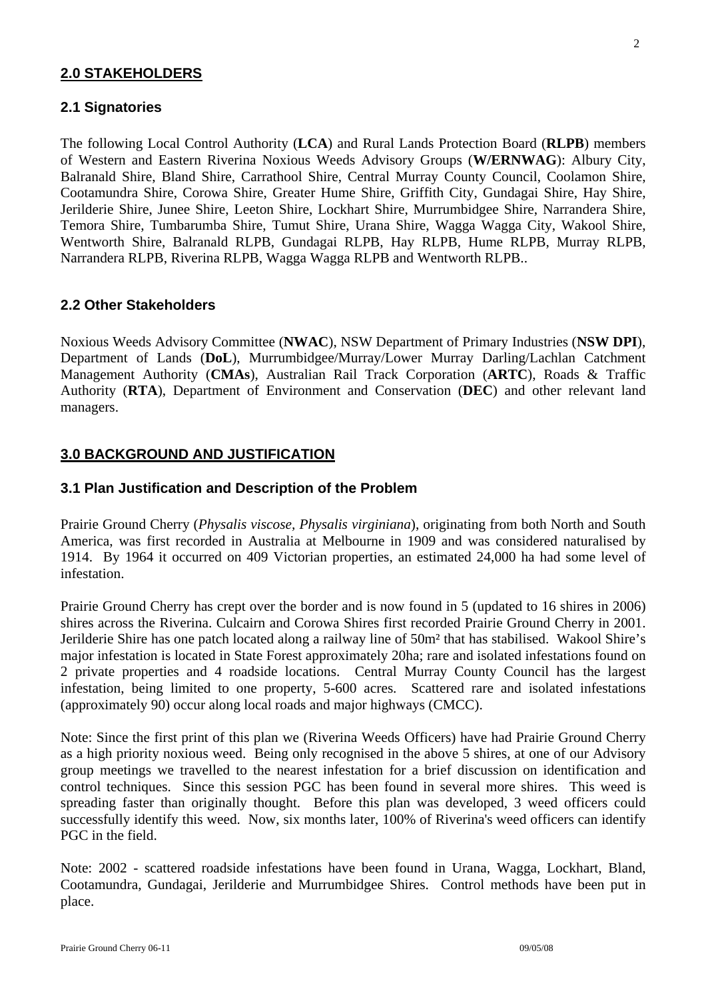## **2.0 STAKEHOLDERS**

#### **2.1 Signatories**

The following Local Control Authority (**LCA**) and Rural Lands Protection Board (**RLPB**) members of Western and Eastern Riverina Noxious Weeds Advisory Groups (**W/ERNWAG**): Albury City, Balranald Shire, Bland Shire, Carrathool Shire, Central Murray County Council, Coolamon Shire, Cootamundra Shire, Corowa Shire, Greater Hume Shire, Griffith City, Gundagai Shire, Hay Shire, Jerilderie Shire, Junee Shire, Leeton Shire, Lockhart Shire, Murrumbidgee Shire, Narrandera Shire, Temora Shire, Tumbarumba Shire, Tumut Shire, Urana Shire, Wagga Wagga City, Wakool Shire, Wentworth Shire, Balranald RLPB, Gundagai RLPB, Hay RLPB, Hume RLPB, Murray RLPB, Narrandera RLPB, Riverina RLPB, Wagga Wagga RLPB and Wentworth RLPB..

#### **2.2 Other Stakeholders**

Noxious Weeds Advisory Committee (**NWAC**), NSW Department of Primary Industries (**NSW DPI**), Department of Lands (**DoL**), Murrumbidgee/Murray/Lower Murray Darling/Lachlan Catchment Management Authority (**CMAs**), Australian Rail Track Corporation (**ARTC**), Roads & Traffic Authority (**RTA**), Department of Environment and Conservation (**DEC**) and other relevant land managers.

#### **3.0 BACKGROUND AND JUSTIFICATION**

#### **3.1 Plan Justification and Description of the Problem**

Prairie Ground Cherry (*Physalis viscose, Physalis virginiana*), originating from both North and South America, was first recorded in Australia at Melbourne in 1909 and was considered naturalised by 1914. By 1964 it occurred on 409 Victorian properties, an estimated 24,000 ha had some level of infestation.

Prairie Ground Cherry has crept over the border and is now found in 5 (updated to 16 shires in 2006) shires across the Riverina. Culcairn and Corowa Shires first recorded Prairie Ground Cherry in 2001. Jerilderie Shire has one patch located along a railway line of 50m² that has stabilised. Wakool Shire's major infestation is located in State Forest approximately 20ha; rare and isolated infestations found on 2 private properties and 4 roadside locations. Central Murray County Council has the largest infestation, being limited to one property, 5-600 acres. Scattered rare and isolated infestations (approximately 90) occur along local roads and major highways (CMCC).

Note: Since the first print of this plan we (Riverina Weeds Officers) have had Prairie Ground Cherry as a high priority noxious weed. Being only recognised in the above 5 shires, at one of our Advisory group meetings we travelled to the nearest infestation for a brief discussion on identification and control techniques. Since this session PGC has been found in several more shires. This weed is spreading faster than originally thought. Before this plan was developed, 3 weed officers could successfully identify this weed. Now, six months later, 100% of Riverina's weed officers can identify PGC in the field.

Note: 2002 - scattered roadside infestations have been found in Urana, Wagga, Lockhart, Bland, Cootamundra, Gundagai, Jerilderie and Murrumbidgee Shires. Control methods have been put in place.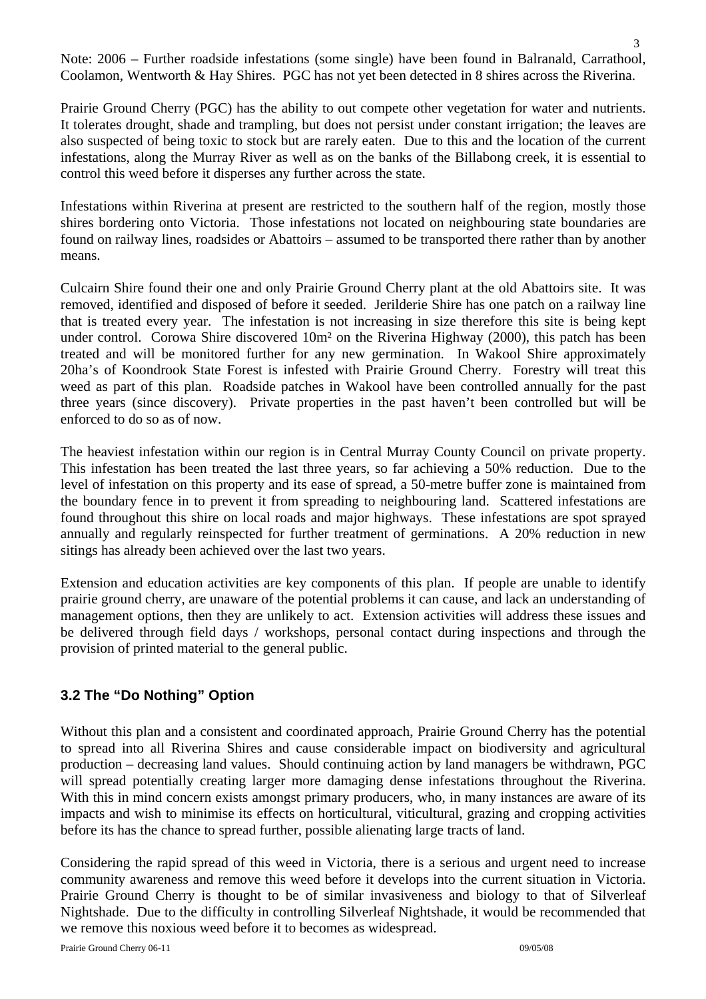Note: 2006 – Further roadside infestations (some single) have been found in Balranald, Carrathool, Coolamon, Wentworth & Hay Shires. PGC has not yet been detected in 8 shires across the Riverina.

Prairie Ground Cherry (PGC) has the ability to out compete other vegetation for water and nutrients. It tolerates drought, shade and trampling, but does not persist under constant irrigation; the leaves are also suspected of being toxic to stock but are rarely eaten. Due to this and the location of the current infestations, along the Murray River as well as on the banks of the Billabong creek, it is essential to control this weed before it disperses any further across the state.

Infestations within Riverina at present are restricted to the southern half of the region, mostly those shires bordering onto Victoria. Those infestations not located on neighbouring state boundaries are found on railway lines, roadsides or Abattoirs – assumed to be transported there rather than by another means.

Culcairn Shire found their one and only Prairie Ground Cherry plant at the old Abattoirs site. It was removed, identified and disposed of before it seeded. Jerilderie Shire has one patch on a railway line that is treated every year. The infestation is not increasing in size therefore this site is being kept under control. Corowa Shire discovered 10m² on the Riverina Highway (2000), this patch has been treated and will be monitored further for any new germination. In Wakool Shire approximately 20ha's of Koondrook State Forest is infested with Prairie Ground Cherry. Forestry will treat this weed as part of this plan. Roadside patches in Wakool have been controlled annually for the past three years (since discovery). Private properties in the past haven't been controlled but will be enforced to do so as of now.

The heaviest infestation within our region is in Central Murray County Council on private property. This infestation has been treated the last three years, so far achieving a 50% reduction. Due to the level of infestation on this property and its ease of spread, a 50-metre buffer zone is maintained from the boundary fence in to prevent it from spreading to neighbouring land. Scattered infestations are found throughout this shire on local roads and major highways. These infestations are spot sprayed annually and regularly reinspected for further treatment of germinations. A 20% reduction in new sitings has already been achieved over the last two years.

Extension and education activities are key components of this plan. If people are unable to identify prairie ground cherry, are unaware of the potential problems it can cause, and lack an understanding of management options, then they are unlikely to act. Extension activities will address these issues and be delivered through field days / workshops, personal contact during inspections and through the provision of printed material to the general public.

# **3.2 The "Do Nothing" Option**

Without this plan and a consistent and coordinated approach, Prairie Ground Cherry has the potential to spread into all Riverina Shires and cause considerable impact on biodiversity and agricultural production – decreasing land values. Should continuing action by land managers be withdrawn, PGC will spread potentially creating larger more damaging dense infestations throughout the Riverina. With this in mind concern exists amongst primary producers, who, in many instances are aware of its impacts and wish to minimise its effects on horticultural, viticultural, grazing and cropping activities before its has the chance to spread further, possible alienating large tracts of land.

Considering the rapid spread of this weed in Victoria, there is a serious and urgent need to increase community awareness and remove this weed before it develops into the current situation in Victoria. Prairie Ground Cherry is thought to be of similar invasiveness and biology to that of Silverleaf Nightshade. Due to the difficulty in controlling Silverleaf Nightshade, it would be recommended that we remove this noxious weed before it to becomes as widespread.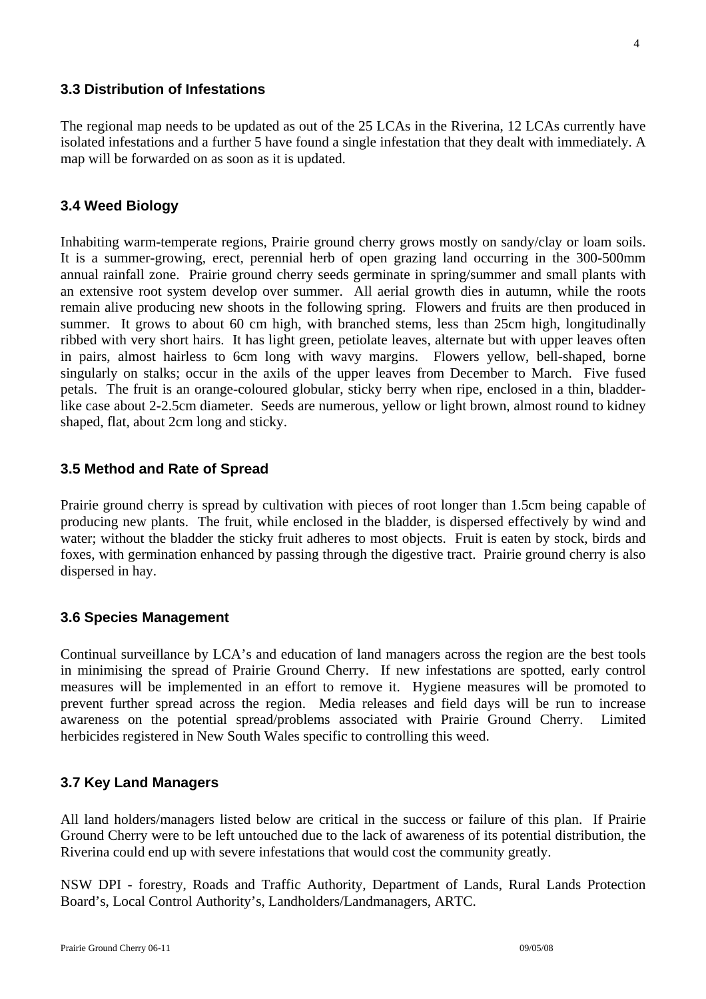#### **3.3 Distribution of Infestations**

The regional map needs to be updated as out of the 25 LCAs in the Riverina, 12 LCAs currently have isolated infestations and a further 5 have found a single infestation that they dealt with immediately. A map will be forwarded on as soon as it is updated.

#### **3.4 Weed Biology**

Inhabiting warm-temperate regions, Prairie ground cherry grows mostly on sandy/clay or loam soils. It is a summer-growing, erect, perennial herb of open grazing land occurring in the 300-500mm annual rainfall zone. Prairie ground cherry seeds germinate in spring/summer and small plants with an extensive root system develop over summer. All aerial growth dies in autumn, while the roots remain alive producing new shoots in the following spring. Flowers and fruits are then produced in summer. It grows to about 60 cm high, with branched stems, less than 25cm high, longitudinally ribbed with very short hairs. It has light green, petiolate leaves, alternate but with upper leaves often in pairs, almost hairless to 6cm long with wavy margins. Flowers yellow, bell-shaped, borne singularly on stalks; occur in the axils of the upper leaves from December to March. Five fused petals. The fruit is an orange-coloured globular, sticky berry when ripe, enclosed in a thin, bladderlike case about 2-2.5cm diameter. Seeds are numerous, yellow or light brown, almost round to kidney shaped, flat, about 2cm long and sticky.

#### **3.5 Method and Rate of Spread**

Prairie ground cherry is spread by cultivation with pieces of root longer than 1.5cm being capable of producing new plants. The fruit, while enclosed in the bladder, is dispersed effectively by wind and water; without the bladder the sticky fruit adheres to most objects. Fruit is eaten by stock, birds and foxes, with germination enhanced by passing through the digestive tract. Prairie ground cherry is also dispersed in hay.

#### **3.6 Species Management**

Continual surveillance by LCA's and education of land managers across the region are the best tools in minimising the spread of Prairie Ground Cherry. If new infestations are spotted, early control measures will be implemented in an effort to remove it. Hygiene measures will be promoted to prevent further spread across the region. Media releases and field days will be run to increase awareness on the potential spread/problems associated with Prairie Ground Cherry. Limited herbicides registered in New South Wales specific to controlling this weed.

#### **3.7 Key Land Managers**

All land holders/managers listed below are critical in the success or failure of this plan. If Prairie Ground Cherry were to be left untouched due to the lack of awareness of its potential distribution, the Riverina could end up with severe infestations that would cost the community greatly.

NSW DPI - forestry, Roads and Traffic Authority, Department of Lands, Rural Lands Protection Board's, Local Control Authority's, Landholders/Landmanagers, ARTC.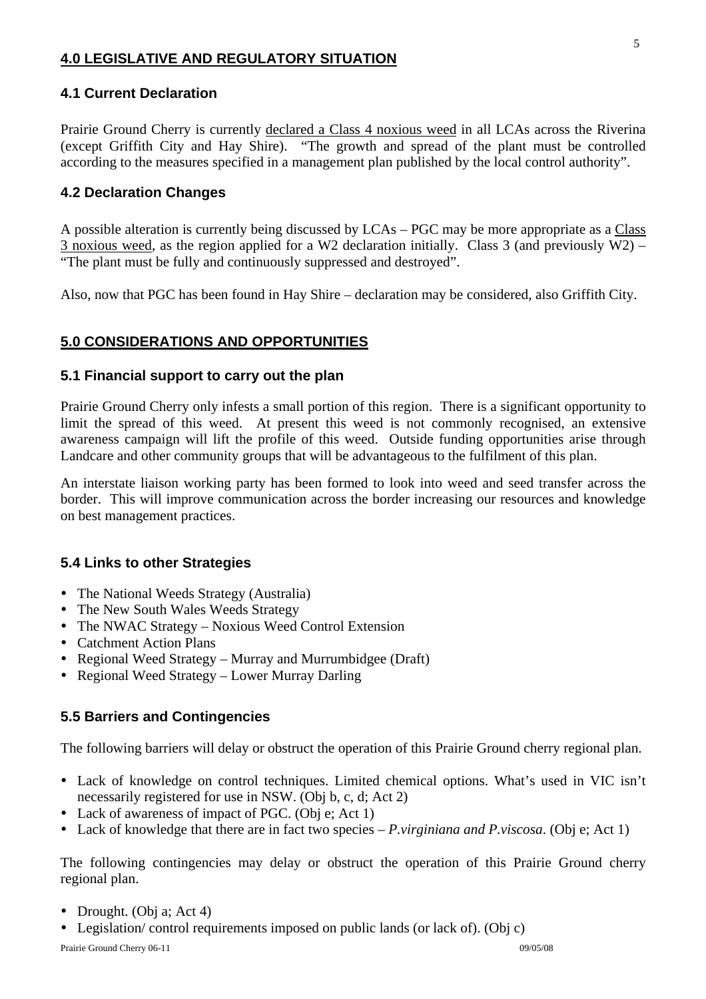# **4.0 LEGISLATIVE AND REGULATORY SITUATION**

## **4.1 Current Declaration**

Prairie Ground Cherry is currently declared a Class 4 noxious weed in all LCAs across the Riverina (except Griffith City and Hay Shire). "The growth and spread of the plant must be controlled according to the measures specified in a management plan published by the local control authority".

## **4.2 Declaration Changes**

A possible alteration is currently being discussed by LCAs – PGC may be more appropriate as a Class 3 noxious weed, as the region applied for a W2 declaration initially. Class 3 (and previously W2) – "The plant must be fully and continuously suppressed and destroyed".

Also, now that PGC has been found in Hay Shire – declaration may be considered, also Griffith City.

## **5.0 CONSIDERATIONS AND OPPORTUNITIES**

#### **5.1 Financial support to carry out the plan**

Prairie Ground Cherry only infests a small portion of this region. There is a significant opportunity to limit the spread of this weed. At present this weed is not commonly recognised, an extensive awareness campaign will lift the profile of this weed. Outside funding opportunities arise through Landcare and other community groups that will be advantageous to the fulfilment of this plan.

An interstate liaison working party has been formed to look into weed and seed transfer across the border. This will improve communication across the border increasing our resources and knowledge on best management practices.

#### **5.4 Links to other Strategies**

- The National Weeds Strategy (Australia)
- The New South Wales Weeds Strategy
- The NWAC Strategy Noxious Weed Control Extension
- Catchment Action Plans
- Regional Weed Strategy Murray and Murrumbidgee (Draft)
- Regional Weed Strategy Lower Murray Darling

# **5.5 Barriers and Contingencies**

The following barriers will delay or obstruct the operation of this Prairie Ground cherry regional plan.

- Lack of knowledge on control techniques. Limited chemical options. What's used in VIC isn't necessarily registered for use in NSW. (Obj b, c, d; Act 2)
- Lack of awareness of impact of PGC. (Obj e; Act 1)
- Lack of knowledge that there are in fact two species *P.virginiana and P.viscosa*. (Obj e; Act 1)

The following contingencies may delay or obstruct the operation of this Prairie Ground cherry regional plan.

- Drought. (Obj a; Act 4)
- Legislation/ control requirements imposed on public lands (or lack of). (Obj c)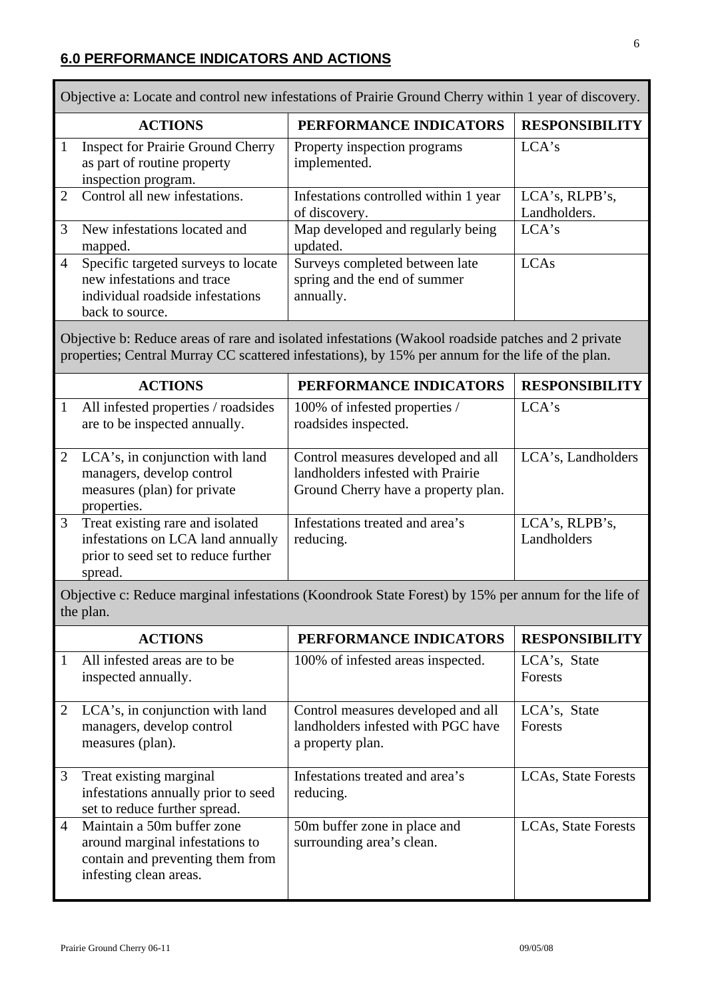# **6.0 PERFORMANCE INDICATORS AND ACTIONS**

 $\overline{\phantom{a}}$ 

|                | Objective a: Locate and control new infestations of Prairie Ground Cherry within 1 year of discovery.                                                                                                   |                                                                                                                |                                |  |  |  |
|----------------|---------------------------------------------------------------------------------------------------------------------------------------------------------------------------------------------------------|----------------------------------------------------------------------------------------------------------------|--------------------------------|--|--|--|
|                | <b>ACTIONS</b>                                                                                                                                                                                          | PERFORMANCE INDICATORS                                                                                         | <b>RESPONSIBILITY</b>          |  |  |  |
| $\mathbf{1}$   | <b>Inspect for Prairie Ground Cherry</b><br>as part of routine property<br>inspection program.                                                                                                          | Property inspection programs<br>implemented.                                                                   | LCA's                          |  |  |  |
| $\overline{2}$ | Control all new infestations.                                                                                                                                                                           | Infestations controlled within 1 year<br>of discovery.                                                         | LCA's, RLPB's,<br>Landholders. |  |  |  |
| 3              | New infestations located and<br>mapped.                                                                                                                                                                 | Map developed and regularly being<br>updated.                                                                  | LCA's                          |  |  |  |
| $\overline{4}$ | Specific targeted surveys to locate<br>new infestations and trace<br>individual roadside infestations<br>back to source.                                                                                | Surveys completed between late<br>spring and the end of summer<br>annually.                                    | <b>LCAs</b>                    |  |  |  |
|                | Objective b: Reduce areas of rare and isolated infestations (Wakool roadside patches and 2 private<br>properties; Central Murray CC scattered infestations), by 15% per annum for the life of the plan. |                                                                                                                |                                |  |  |  |
|                | <b>ACTIONS</b>                                                                                                                                                                                          | PERFORMANCE INDICATORS                                                                                         | <b>RESPONSIBILITY</b>          |  |  |  |
| $\mathbf{1}$   | All infested properties / roadsides<br>are to be inspected annually.                                                                                                                                    | 100% of infested properties /<br>roadsides inspected.                                                          | LCA's                          |  |  |  |
| $\overline{2}$ | LCA's, in conjunction with land<br>managers, develop control<br>measures (plan) for private<br>properties.                                                                                              | Control measures developed and all<br>landholders infested with Prairie<br>Ground Cherry have a property plan. | LCA's, Landholders             |  |  |  |
| 3              | Treat existing rare and isolated<br>infestations on LCA land annually<br>prior to seed set to reduce further<br>spread.                                                                                 | Infestations treated and area's<br>reducing.                                                                   | LCA's, RLPB's,<br>Landholders  |  |  |  |
|                | Objective c: Reduce marginal infestations (Koondrook State Forest) by 15% per annum for the life of<br>the plan.                                                                                        |                                                                                                                |                                |  |  |  |
|                | <b>ACTIONS</b>                                                                                                                                                                                          | PERFORMANCE INDICATORS                                                                                         | <b>RESPONSIBILITY</b>          |  |  |  |
| 1              | All infested areas are to be<br>inspected annually.                                                                                                                                                     | 100% of infested areas inspected.                                                                              | LCA's, State<br>Forests        |  |  |  |
| $\overline{2}$ | LCA's, in conjunction with land<br>managers, develop control<br>measures (plan).                                                                                                                        | Control measures developed and all<br>landholders infested with PGC have<br>a property plan.                   | LCA's, State<br>Forests        |  |  |  |
| 3              | Treat existing marginal<br>infestations annually prior to seed<br>set to reduce further spread.                                                                                                         | Infestations treated and area's<br>reducing.                                                                   | LCAs, State Forests            |  |  |  |
| 4              | Maintain a 50m buffer zone<br>around marginal infestations to<br>contain and preventing them from<br>infesting clean areas.                                                                             | 50m buffer zone in place and<br>surrounding area's clean.                                                      | LCAs, State Forests            |  |  |  |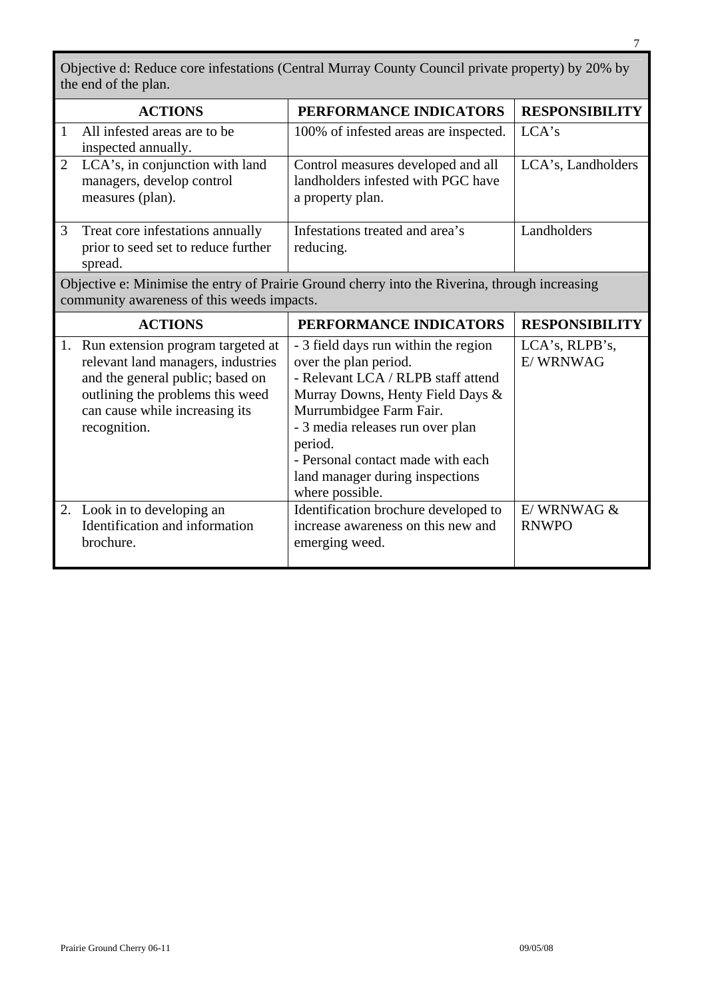Objective d: Reduce core infestations (Central Murray County Council private property) by 20% by the end of the plan.

|                | <b>ACTIONS</b>                                                                                                                                                                                       | PERFORMANCE INDICATORS                                                                                                                                                                                                                                                                                       | <b>RESPONSIBIL</b>           |  |  |
|----------------|------------------------------------------------------------------------------------------------------------------------------------------------------------------------------------------------------|--------------------------------------------------------------------------------------------------------------------------------------------------------------------------------------------------------------------------------------------------------------------------------------------------------------|------------------------------|--|--|
| 1              | All infested areas are to be<br>inspected annually.                                                                                                                                                  | 100% of infested areas are inspected.                                                                                                                                                                                                                                                                        | LCA's                        |  |  |
| $\overline{2}$ | LCA's, in conjunction with land<br>managers, develop control<br>measures (plan).                                                                                                                     | Control measures developed and all<br>landholders infested with PGC have<br>a property plan.                                                                                                                                                                                                                 | LCA's, Landholders           |  |  |
| 3              | Treat core infestations annually<br>prior to seed set to reduce further<br>spread.                                                                                                                   | Infestations treated and area's<br>reducing.                                                                                                                                                                                                                                                                 | Landholders                  |  |  |
|                | Objective e: Minimise the entry of Prairie Ground cherry into the Riverina, through increasing<br>community awareness of this weeds impacts.                                                         |                                                                                                                                                                                                                                                                                                              |                              |  |  |
|                | <b>ACTIONS</b>                                                                                                                                                                                       | PERFORMANCE INDICATORS                                                                                                                                                                                                                                                                                       | <b>RESPONSIBILITY</b>        |  |  |
|                | 1. Run extension program targeted at<br>relevant land managers, industries<br>and the general public; based on<br>outlining the problems this weed<br>can cause while increasing its<br>recognition. | - 3 field days run within the region<br>over the plan period.<br>- Relevant LCA / RLPB staff attend<br>Murray Downs, Henty Field Days &<br>Murrumbidgee Farm Fair.<br>- 3 media releases run over plan<br>period.<br>- Personal contact made with each<br>land manager during inspections<br>where possible. | LCA's, RLPB's,<br>E/WRNWAG   |  |  |
|                | 2. Look in to developing an<br>Identification and information<br>brochure.                                                                                                                           | Identification brochure developed to<br>increase awareness on this new and<br>emerging weed.                                                                                                                                                                                                                 | E/WRNWAG $&$<br><b>RNWPO</b> |  |  |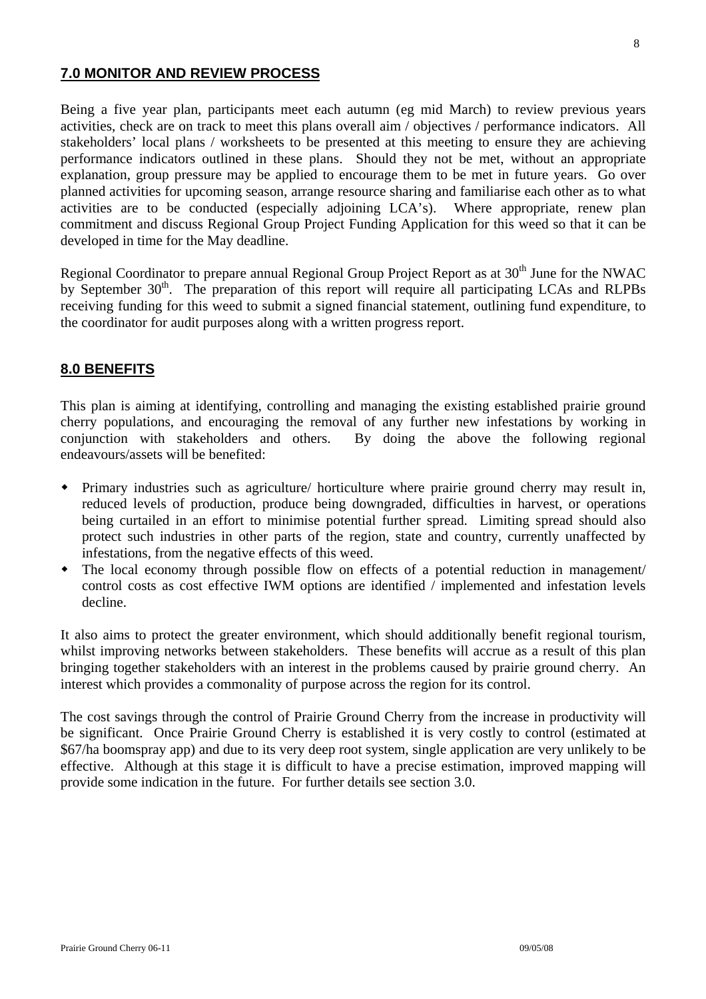## **7.0 MONITOR AND REVIEW PROCESS**

Being a five year plan, participants meet each autumn (eg mid March) to review previous years activities, check are on track to meet this plans overall aim / objectives / performance indicators. All stakeholders' local plans / worksheets to be presented at this meeting to ensure they are achieving performance indicators outlined in these plans. Should they not be met, without an appropriate explanation, group pressure may be applied to encourage them to be met in future years. Go over planned activities for upcoming season, arrange resource sharing and familiarise each other as to what activities are to be conducted (especially adjoining LCA's). Where appropriate, renew plan commitment and discuss Regional Group Project Funding Application for this weed so that it can be developed in time for the May deadline.

Regional Coordinator to prepare annual Regional Group Project Report as at  $30<sup>th</sup>$  June for the NWAC by September 30<sup>th</sup>. The preparation of this report will require all participating LCAs and RLPBs receiving funding for this weed to submit a signed financial statement, outlining fund expenditure, to the coordinator for audit purposes along with a written progress report.

# **8.0 BENEFITS**

This plan is aiming at identifying, controlling and managing the existing established prairie ground cherry populations, and encouraging the removal of any further new infestations by working in conjunction with stakeholders and others. By doing the above the following regional endeavours/assets will be benefited:

- Primary industries such as agriculture/ horticulture where prairie ground cherry may result in, reduced levels of production, produce being downgraded, difficulties in harvest, or operations being curtailed in an effort to minimise potential further spread. Limiting spread should also protect such industries in other parts of the region, state and country, currently unaffected by infestations, from the negative effects of this weed.
- The local economy through possible flow on effects of a potential reduction in management/ control costs as cost effective IWM options are identified / implemented and infestation levels decline.

It also aims to protect the greater environment, which should additionally benefit regional tourism, whilst improving networks between stakeholders. These benefits will accrue as a result of this plan bringing together stakeholders with an interest in the problems caused by prairie ground cherry. An interest which provides a commonality of purpose across the region for its control.

The cost savings through the control of Prairie Ground Cherry from the increase in productivity will be significant. Once Prairie Ground Cherry is established it is very costly to control (estimated at \$67/ha boomspray app) and due to its very deep root system, single application are very unlikely to be effective. Although at this stage it is difficult to have a precise estimation, improved mapping will provide some indication in the future. For further details see section 3.0.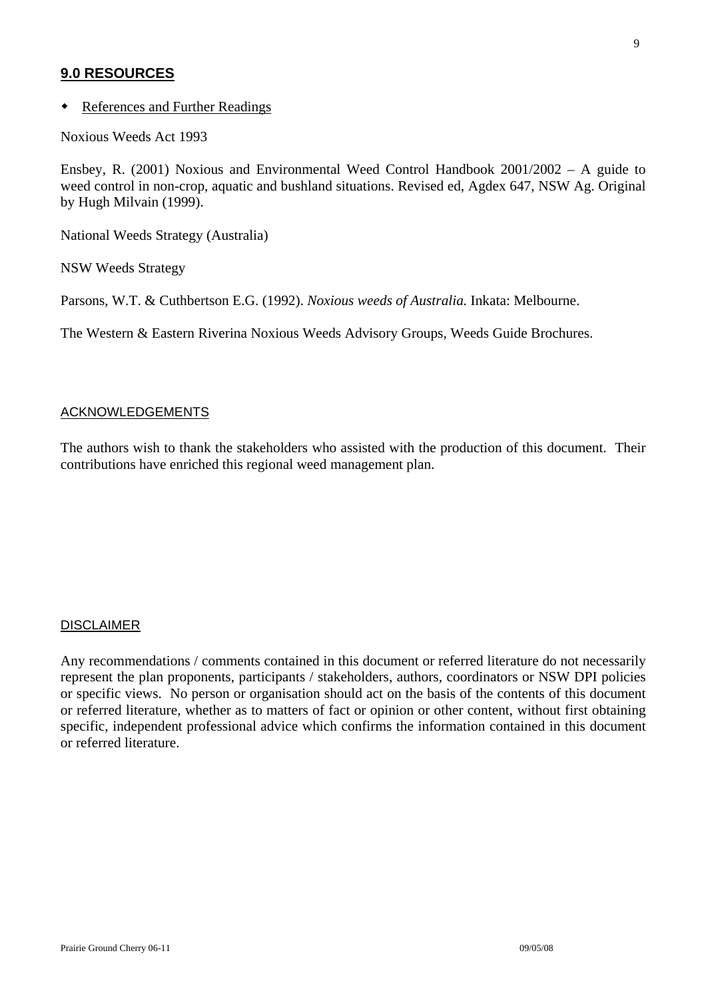# **9.0 RESOURCES**

References and Further Readings

Noxious Weeds Act 1993

Ensbey, R. (2001) Noxious and Environmental Weed Control Handbook 2001/2002 – A guide to weed control in non-crop, aquatic and bushland situations. Revised ed, Agdex 647, NSW Ag. Original by Hugh Milvain (1999).

National Weeds Strategy (Australia)

NSW Weeds Strategy

Parsons, W.T. & Cuthbertson E.G. (1992). *Noxious weeds of Australia.* Inkata: Melbourne.

The Western & Eastern Riverina Noxious Weeds Advisory Groups, Weeds Guide Brochures.

#### ACKNOWLEDGEMENTS

The authors wish to thank the stakeholders who assisted with the production of this document. Their contributions have enriched this regional weed management plan.

#### **DISCLAIMER**

Any recommendations / comments contained in this document or referred literature do not necessarily represent the plan proponents, participants / stakeholders, authors, coordinators or NSW DPI policies or specific views. No person or organisation should act on the basis of the contents of this document or referred literature, whether as to matters of fact or opinion or other content, without first obtaining specific, independent professional advice which confirms the information contained in this document or referred literature.